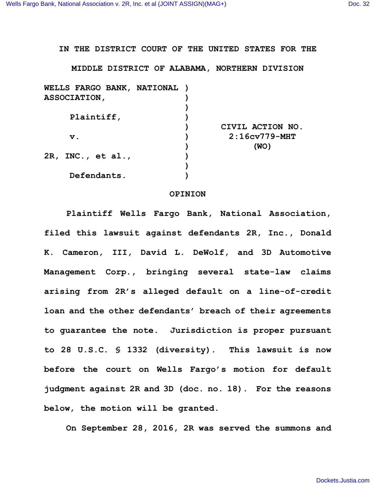**IN THE DISTRICT COURT OF THE UNITED STATES FOR THE**

**MIDDLE DISTRICT OF ALABAMA, NORTHERN DIVISION**

| WELLS FARGO BANK, NATIONAL |
|----------------------------|
|                            |
|                            |
|                            |
| CIVIL ACTION NO.           |
| $2:16cv779-MHT$            |
| (WO)                       |
|                            |
|                            |
|                            |
|                            |

## **OPINION**

**Plaintiff Wells Fargo Bank, National Association, filed this lawsuit against defendants 2R, Inc., Donald K. Cameron, III, David L. DeWolf, and 3D Automotive Management Corp., bringing several state-law claims arising from 2R's alleged default on a line-of-credit loan and the other defendants' breach of their agreements to guarantee the note. Jurisdiction is proper pursuant to 28 U.S.C. § 1332 (diversity). This lawsuit is now before the court on Wells Fargo's motion for default judgment against 2R and 3D (doc. no. 18). For the reasons below, the motion will be granted.**

**On September 28, 2016, 2R was served the summons and**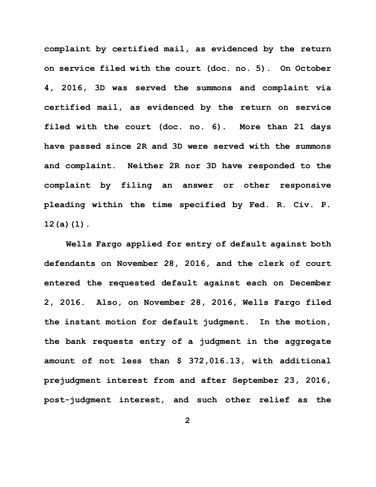**complaint by certified mail, as evidenced by the return on service filed with the court (doc. no. 5). On October 4, 2016, 3D was served the summons and complaint via certified mail, as evidenced by the return on service filed with the court (doc. no. 6). More than 21 days have passed since 2R and 3D were served with the summons and complaint. Neither 2R nor 3D have responded to the complaint by filing an answer or other responsive pleading within the time specified by Fed. R. Civ. P. 12(a)(1).** 

**Wells Fargo applied for entry of default against both defendants on November 28, 2016, and the clerk of court entered the requested default against each on December 2, 2016. Also, on November 28, 2016, Wells Fargo filed the instant motion for default judgment. In the motion, the bank requests entry of a judgment in the aggregate amount of not less than \$ 372,016.13, with additional prejudgment interest from and after September 23, 2016, post-judgment interest, and such other relief as the**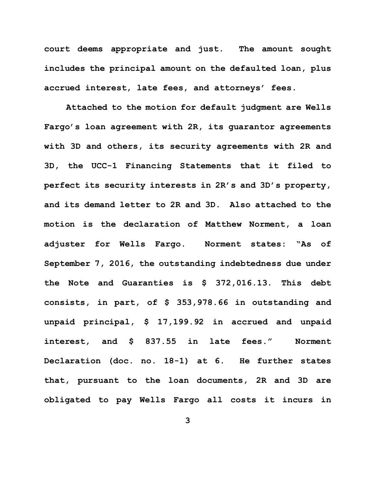**court deems appropriate and just. The amount sought includes the principal amount on the defaulted loan, plus accrued interest, late fees, and attorneys' fees.** 

**Attached to the motion for default judgment are Wells Fargo's loan agreement with 2R, its guarantor agreements with 3D and others, its security agreements with 2R and 3D, the UCC-1 Financing Statements that it filed to perfect its security interests in 2R's and 3D's property, and its demand letter to 2R and 3D. Also attached to the motion is the declaration of Matthew Norment, a loan adjuster for Wells Fargo. Norment states: "As of September 7, 2016, the outstanding indebtedness due under the Note and Guaranties is \$ 372,016.13. This debt consists, in part, of \$ 353,978.66 in outstanding and unpaid principal, \$ 17,199.92 in accrued and unpaid interest, and \$ 837.55 in late fees." Norment Declaration (doc. no. 18-1) at 6. He further states that, pursuant to the loan documents, 2R and 3D are obligated to pay Wells Fargo all costs it incurs in**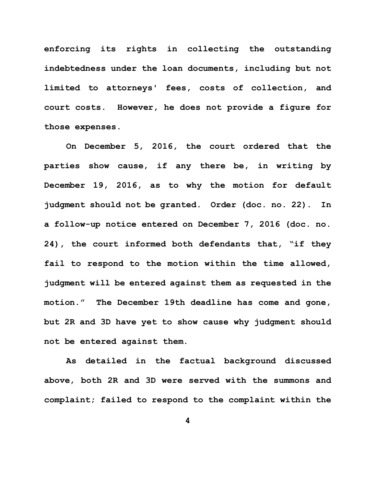**enforcing its rights in collecting the outstanding indebtedness under the loan documents, including but not limited to attorneys' fees, costs of collection, and court costs. However, he does not provide a figure for those expenses.**

**On December 5, 2016, the court ordered that the parties show cause, if any there be, in writing by December 19, 2016, as to why the motion for default judgment should not be granted. Order (doc. no. 22). In a follow-up notice entered on December 7, 2016 (doc. no. 24), the court informed both defendants that, "if they fail to respond to the motion within the time allowed, judgment will be entered against them as requested in the motion." The December 19th deadline has come and gone, but 2R and 3D have yet to show cause why judgment should not be entered against them.** 

**As detailed in the factual background discussed above, both 2R and 3D were served with the summons and complaint; failed to respond to the complaint within the**